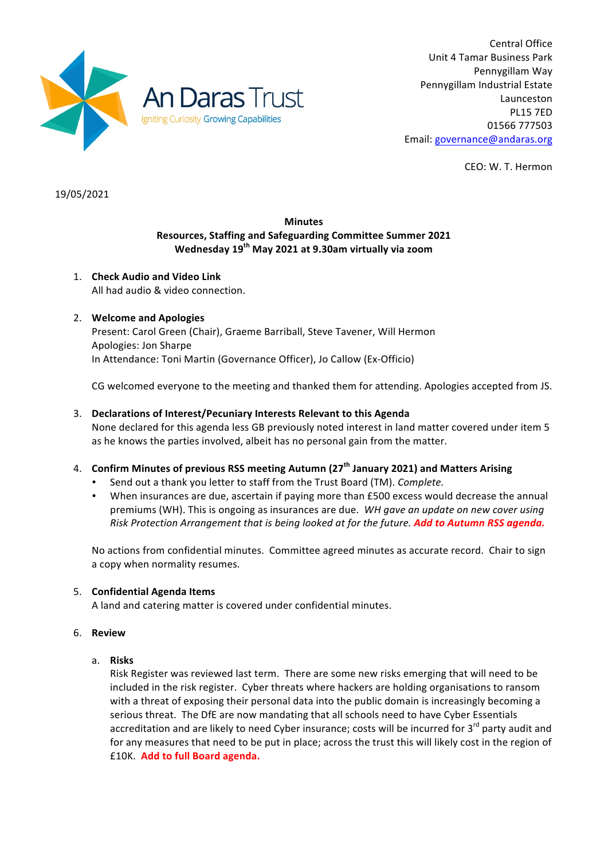

Central Office Unit 4 Tamar Business Park Pennygillam Way Pennygillam Industrial Estate Launceston PL15 7ED 01566 777503 Email: governance@andaras.org

CEO: W. T. Hermon

19/05/2021

# **Minutes Resources, Staffing and Safeguarding Committee Summer 2021 Wednesday 19th May 2021 at 9.30am virtually via zoom**

1. **Check Audio and Video Link** All had audio & video connection.

# 2. Welcome and Apologies

Present: Carol Green (Chair), Graeme Barriball, Steve Tavener, Will Hermon Apologies: Jon Sharpe In Attendance: Toni Martin (Governance Officer), Jo Callow (Ex-Officio)

CG welcomed everyone to the meeting and thanked them for attending. Apologies accepted from JS.

## 3. Declarations of Interest/Pecuniary Interests Relevant to this Agenda

None declared for this agenda less GB previously noted interest in land matter covered under item 5 as he knows the parties involved, albeit has no personal gain from the matter.

## 4. **Confirm Minutes of previous RSS meeting Autumn (27<sup>th</sup> January 2021) and Matters Arising**

- Send out a thank you letter to staff from the Trust Board (TM). *Complete.*
- When insurances are due, ascertain if paying more than £500 excess would decrease the annual premiums (WH). This is ongoing as insurances are due. *WH gave an update on new cover using Risk Protection Arrangement that is being looked at for the future.* **Add to Autumn RSS agenda.**

No actions from confidential minutes. Committee agreed minutes as accurate record. Chair to sign a copy when normality resumes.

## 5. **Confidential Agenda Items**

A land and catering matter is covered under confidential minutes.

## 6. **Review**

a. **Risks**

Risk Register was reviewed last term. There are some new risks emerging that will need to be included in the risk register. Cyber threats where hackers are holding organisations to ransom with a threat of exposing their personal data into the public domain is increasingly becoming a serious threat. The DfE are now mandating that all schools need to have Cyber Essentials accreditation and are likely to need Cyber insurance; costs will be incurred for 3<sup>rd</sup> party audit and for any measures that need to be put in place; across the trust this will likely cost in the region of £10K. **Add to full Board agenda.**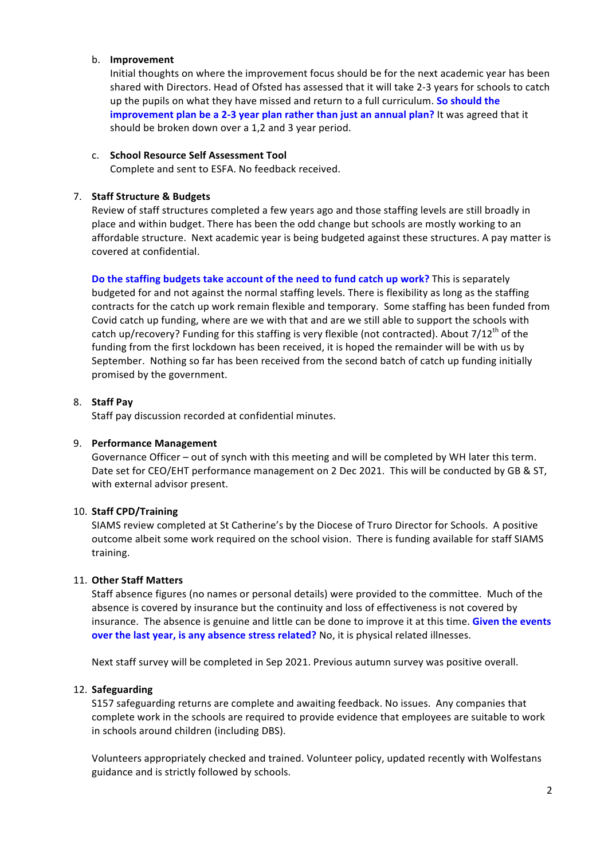## b. **Improvement**

Initial thoughts on where the improvement focus should be for the next academic year has been shared with Directors. Head of Ofsted has assessed that it will take 2-3 years for schools to catch up the pupils on what they have missed and return to a full curriculum. So should the **improvement plan be a 2-3 year plan rather than just an annual plan?** It was agreed that it should be broken down over a 1,2 and 3 year period.

#### c. **School Resource Self Assessment Tool**

Complete and sent to ESFA. No feedback received.

#### 7. **Staff Structure & Budgets**

Review of staff structures completed a few years ago and those staffing levels are still broadly in place and within budget. There has been the odd change but schools are mostly working to an affordable structure. Next academic year is being budgeted against these structures. A pay matter is covered at confidential.

**Do the staffing budgets take account of the need to fund catch up work?** This is separately budgeted for and not against the normal staffing levels. There is flexibility as long as the staffing contracts for the catch up work remain flexible and temporary. Some staffing has been funded from Covid catch up funding, where are we with that and are we still able to support the schools with catch up/recovery? Funding for this staffing is very flexible (not contracted). About 7/12<sup>th</sup> of the funding from the first lockdown has been received, it is hoped the remainder will be with us by September. Nothing so far has been received from the second batch of catch up funding initially promised by the government.

## 8. **Staff Pay**

Staff pay discussion recorded at confidential minutes.

## 9. **Performance Management**

Governance Officer – out of synch with this meeting and will be completed by WH later this term. Date set for CEO/EHT performance management on 2 Dec 2021. This will be conducted by GB & ST, with external advisor present.

## 10. **Staff CPD/Training**

SIAMS review completed at St Catherine's by the Diocese of Truro Director for Schools. A positive outcome albeit some work required on the school vision. There is funding available for staff SIAMS training. 

## 11. Other Staff Matters

Staff absence figures (no names or personal details) were provided to the committee. Much of the absence is covered by insurance but the continuity and loss of effectiveness is not covered by insurance. The absence is genuine and little can be done to improve it at this time. Given the events **over the last year, is any absence stress related?** No, it is physical related illnesses.

Next staff survey will be completed in Sep 2021. Previous autumn survey was positive overall.

## 12. **Safeguarding**

S157 safeguarding returns are complete and awaiting feedback. No issues. Any companies that complete work in the schools are required to provide evidence that employees are suitable to work in schools around children (including DBS).

Volunteers appropriately checked and trained. Volunteer policy, updated recently with Wolfestans guidance and is strictly followed by schools.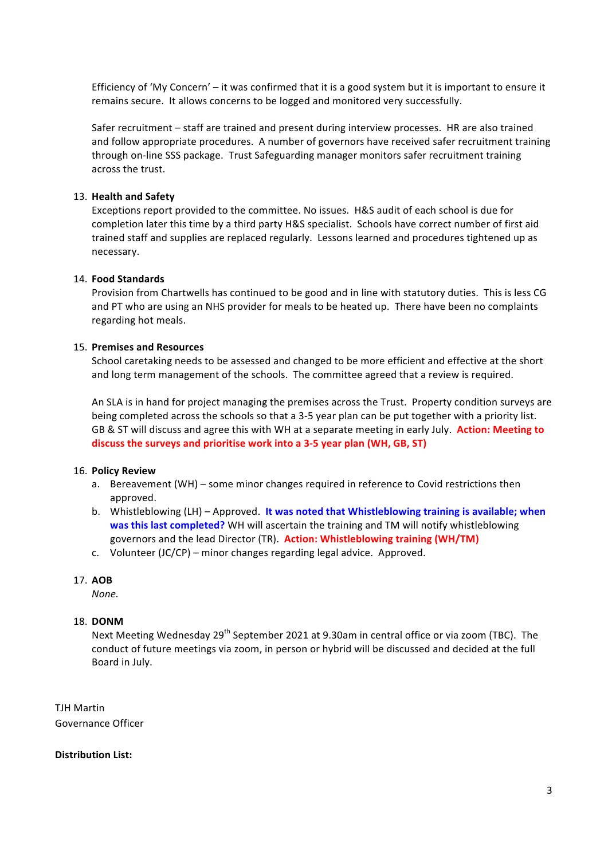Efficiency of 'My Concern' - it was confirmed that it is a good system but it is important to ensure it remains secure. It allows concerns to be logged and monitored very successfully.

Safer recruitment – staff are trained and present during interview processes. HR are also trained and follow appropriate procedures. A number of governors have received safer recruitment training through on-line SSS package. Trust Safeguarding manager monitors safer recruitment training across the trust.

#### 13. **Health and Safety**

Exceptions report provided to the committee. No issues. H&S audit of each school is due for completion later this time by a third party H&S specialist. Schools have correct number of first aid trained staff and supplies are replaced regularly. Lessons learned and procedures tightened up as necessary. 

#### 14. **Food Standards**

Provision from Chartwells has continued to be good and in line with statutory duties. This is less CG and PT who are using an NHS provider for meals to be heated up. There have been no complaints regarding hot meals.

#### 15. **Premises and Resources**

School caretaking needs to be assessed and changed to be more efficient and effective at the short and long term management of the schools. The committee agreed that a review is required.

An SLA is in hand for project managing the premises across the Trust. Property condition surveys are being completed across the schools so that a 3-5 year plan can be put together with a priority list. GB & ST will discuss and agree this with WH at a separate meeting in early July. Action: Meeting to discuss the surveys and prioritise work into a 3-5 year plan (WH, GB, ST)

#### 16. **Policy Review**

- a. Bereavement (WH) some minor changes required in reference to Covid restrictions then approved.
- b. Whistleblowing (LH) Approved. It was noted that Whistleblowing training is available; when was this last completed? WH will ascertain the training and TM will notify whistleblowing governors and the lead Director (TR). **Action: Whistleblowing training (WH/TM)**
- c. Volunteer  $(JC/CP)$  minor changes regarding legal advice. Approved.

#### 17. **AOB**

*None.* 

## 18. **DONM**

Next Meeting Wednesday  $29<sup>th</sup>$  September 2021 at 9.30am in central office or via zoom (TBC). The conduct of future meetings via zoom, in person or hybrid will be discussed and decided at the full Board in July.

**TJH Martin** Governance Officer

#### **Distribution List:**